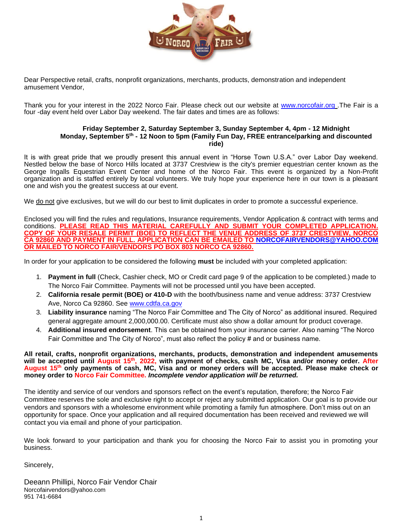

Dear Perspective retail, crafts, nonprofit organizations, merchants, products, demonstration and independent amusement Vendor,

Thank you for your interest in the 2022 Norco Fair. Please check out our website at [www.norcofair.org](http://www.norcofair.org/) .The Fair is a four -day event held over Labor Day weekend. The fair dates and times are as follows:

#### **Friday September 2, Saturday September 3, Sunday September 4, 4pm - 12 Midnight Monday, September 5th - 12 Noon to 5pm (Family Fun Day, FREE entrance/parking and discounted ride)**

It is with great pride that we proudly present this annual event in "Horse Town U.S.A." over Labor Day weekend. Nestled below the base of Norco Hills located at 3737 Crestview is the city's premier equestrian center known as the George Ingalls Equestrian Event Center and home of the Norco Fair. This event is organized by a Non-Profit organization and is staffed entirely by local volunteers. We truly hope your experience here in our town is a pleasant one and wish you the greatest success at our event.

We do not give exclusives, but we will do our best to limit duplicates in order to promote a successful experience.

Enclosed you will find the rules and regulations, Insurance requirements, Vendor Application & contract with terms and conditions. **PLEASE READ THIS MATERIAL CAREFULLY AND SUBMIT YOUR COMPLETED APPLICATION. COPY OF YOUR RESALE PERMIT (BOE) TO REFLECT THE VENUE ADDRESS OF 3737 CRESTVIEW, NORCO CA 92860 AND PAYMENT IN FULL. APPLICATION CAN BE EMAILED TO [NORCOFAIRVENDORS@YAHOO.COM](mailto:NORCOFAIRVENDORS@YAHOO.COM) OR MAILED TO NORCO FAIR/VENDORS PO BOX 803 NORCO CA 92860.** 

In order for your application to be considered the following **must** be included with your completed application:

- 1. **Payment in full** (Check, Cashier check, MO or Credit card page 9 of the application to be completed.) made to The Norco Fair Committee. Payments will not be processed until you have been accepted.
- 2. **California resale permit (BOE) or 410-D** with the booth/business name and venue address: 3737 Crestview Ave, Norco Ca 92860. See [www.cdtfa.ca.gov](http://www.cdtfa.ca.gov/)
- 3. **Liability insurance** naming "The Norco Fair Committee and The City of Norco" as additional insured. Required general aggregate amount 2,000,000.00. Certificate must also show a dollar amount for product coverage.
- 4. **Additional insured endorsement**. This can be obtained from your insurance carrier. Also naming "The Norco Fair Committee and The City of Norco", must also reflect the policy # and or business name.

**All retail, crafts, nonprofit organizations, merchants, products, demonstration and independent amusements will be accepted until August 15 th , 2022, with payment of checks, cash MC, Visa and/or money order. After**  August 15<sup>th</sup> only payments of cash, MC, Visa and or money orders will be accepted. Please make check or **money order to Norco Fair Committee.** *Incomplete vendor application will be returned.*

The identity and service of our vendors and sponsors reflect on the event's reputation, therefore; the Norco Fair Committee reserves the sole and exclusive right to accept or reject any submitted application. Our goal is to provide our vendors and sponsors with a wholesome environment while promoting a family fun atmosphere. Don't miss out on an opportunity for space. Once your application and all required documentation has been received and reviewed we will contact you via email and phone of your participation.

We look forward to your participation and thank you for choosing the Norco Fair to assist you in promoting your business.

Sincerely,

Deeann Phillipi, Norco Fair Vendor Chair Norcofairvendors@yahoo.com 951 741-6684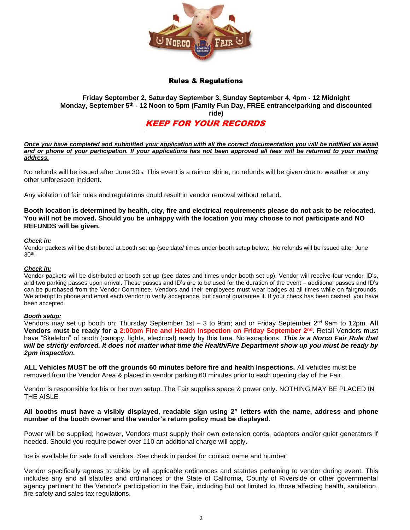

## Rules & Regulations

## **Friday September 2, Saturday September 3, Sunday September 4, 4pm - 12 Midnight Monday, September 5th - 12 Noon to 5pm (Family Fun Day, FREE entrance/parking and discounted ride)**

# KEEP FOR YOUR RECORDS

*Once you have completed and submitted your application with all the correct documentation you will be notified via email and or phone of your participation. If your applications has not been approved all fees will be returned to your mailing address.*

No refunds will be issued after June  $30<sub>th</sub>$ . This event is a rain or shine, no refunds will be given due to weather or any other unforeseen incident.

Any violation of fair rules and regulations could result in vendor removal without refund.

**Booth location is determined by health, city, fire and electrical requirements please do not ask to be relocated. You will not be moved. Should you be unhappy with the location you may choose to not participate and NO REFUNDS will be given.** 

#### *Check in:*

Vendor packets will be distributed at booth set up (see date/ times under booth setup below. No refunds will be issued after June 30th .

#### *Check in:*

Vendor packets will be distributed at booth set up (see dates and times under booth set up). Vendor will receive four vendor ID's, and two parking passes upon arrival. These passes and ID's are to be used for the duration of the event – additional passes and ID's can be purchased from the Vendor Committee. Vendors and their employees must wear badges at all times while on fairgrounds. We attempt to phone and email each vendor to verify acceptance, but cannot guarantee it. If your check has been cashed, you have been accepted.

#### *Booth setup:*

Vendors may set up booth on: Thursday September 1st – 3 to 9pm; and or Friday September 2<sup>nd</sup> 9am to 12pm. **All Vendors must be ready for a 2:00pm Fire and Health inspection on Friday September 2nd**. Retail Vendors must have "Skeleton" of booth (canopy, lights, electrical) ready by this time. No exceptions. *This is a Norco Fair Rule that will be strictly enforced. It does not matter what time the Health/Fire Department show up you must be ready by 2pm inspection.*

**ALL Vehicles MUST be off the grounds 60 minutes before fire and health Inspections.** All vehicles must be removed from the Vendor Area & placed in vendor parking 60 minutes prior to each opening day of the Fair.

Vendor is responsible for his or her own setup. The Fair supplies space & power only. NOTHING MAY BE PLACED IN THE AISLE.

#### **All booths must have a visibly displayed, readable sign using 2" letters with the name, address and phone number of the booth owner and the vendor's return policy must be displayed.**

Power will be supplied; however, Vendors must supply their own extension cords, adapters and/or quiet generators if needed. Should you require power over 110 an additional charge will apply.

Ice is available for sale to all vendors. See check in packet for contact name and number.

Vendor specifically agrees to abide by all applicable ordinances and statutes pertaining to vendor during event. This includes any and all statutes and ordinances of the State of California, County of Riverside or other governmental agency pertinent to the Vendor's participation in the Fair, including but not limited to, those affecting health, sanitation, fire safety and sales tax regulations.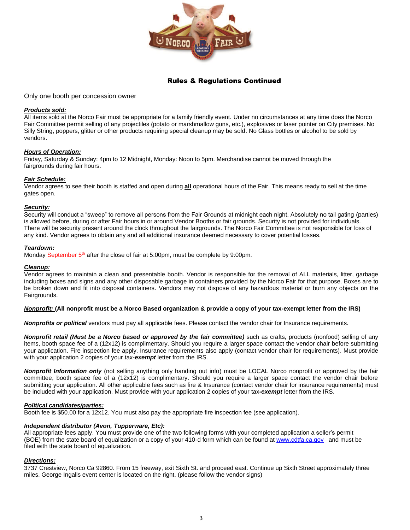

# Rules & Regulations Continued

Only one booth per concession owner

#### *Products sold:*

All items sold at the Norco Fair must be appropriate for a family friendly event. Under no circumstances at any time does the Norco Fair Committee permit selling of any projectiles (potato or marshmallow guns, etc.), explosives or laser pointer on City premises. No Silly String, poppers, glitter or other products requiring special cleanup may be sold. No Glass bottles or alcohol to be sold by vendors.

#### *Hours of Operation:*

Friday, Saturday & Sunday: 4pm to 12 Midnight, Monday: Noon to 5pm. Merchandise cannot be moved through the fairgrounds during fair hours.

#### *Fair Schedule:*

Vendor agrees to see their booth is staffed and open during **all** operational hours of the Fair. This means ready to sell at the time gates open.

#### *Security:*

Security will conduct a "sweep" to remove all persons from the Fair Grounds at midnight each night. Absolutely no tail gating (parties) is allowed before, during or after Fair hours in or around Vendor Booths or fair grounds. Security is not provided for individuals. There will be security present around the clock throughout the fairgrounds. The Norco Fair Committee is not responsible for loss of any kind. Vendor agrees to obtain any and all additional insurance deemed necessary to cover potential losses.

#### *Teardown:*

Monday September 5<sup>th</sup> after the close of fair at 5:00pm, must be complete by 9:00pm.

#### *Cleanup:*

Vendor agrees to maintain a clean and presentable booth. Vendor is responsible for the removal of ALL materials, litter, garbage including boxes and signs and any other disposable garbage in containers provided by the Norco Fair for that purpose. Boxes are to be broken down and fit into disposal containers. Vendors may not dispose of any hazardous material or burn any objects on the Fairgrounds.

#### *Nonprofit:* **(All nonprofit must be a Norco Based organization & provide a copy of your tax-exempt letter from the IRS)**

*Nonprofits or political* vendors must pay all applicable fees. Please contact the vendor chair for Insurance requirements.

*Nonprofit retail (Must be a Norco based or approved by the fair committee)* such as crafts, products (nonfood) selling of any items, booth space fee of a (12x12) is complimentary. Should you require a larger space contact the vendor chair before submitting your application. Fire inspection fee apply. Insurance requirements also apply (contact vendor chair for requirements). Must provide with your application 2 copies of your tax*-exempt* letter from the IRS.

*Nonprofit Information only* (not selling anything only handing out info) must be LOCAL Norco nonprofit or approved by the fair committee, booth space fee of a (12x12) is complimentary. Should you require a larger space contact the vendor chair before submitting your application. All other applicable fees such as fire & Insurance (contact vendor chair for insurance requirements) must be included with your application. Must provide with your application 2 copies of your tax*-exempt* letter from the IRS.

#### *Political candidates/parties:*

Booth fee is \$50.00 for a 12x12. You must also pay the appropriate fire inspection fee (see application).

#### *Independent distributor (Avon, Tupperware, Etc):*

All appropriate fees apply. You must provide one of the two following forms with your completed application a seller's permit (BOE) from the state board of equalization or a copy of your 410-d form which can be found a[t www.cdtfa.ca.gov](http://www.cdtfa.ca.gov/) and must be filed with the state board of equalization.

#### *Directions:*

3737 Crestview, Norco Ca 92860. From 15 freeway, exit Sixth St. and proceed east. Continue up Sixth Street approximately three miles. George Ingalls event center is located on the right. (please follow the vendor signs)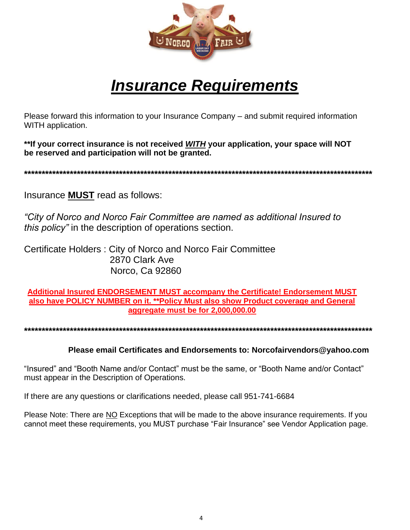

# *Insurance Requirements*

Please forward this information to your Insurance Company – and submit required information WITH application.

**\*\*If your correct insurance is not received** *WITH* **your application, your space will NOT be reserved and participation will not be granted.**

**\*\*\*\*\*\*\*\*\*\*\*\*\*\*\*\*\*\*\*\*\*\*\*\*\*\*\*\*\*\*\*\*\*\*\*\*\*\*\*\*\*\*\*\*\*\*\*\*\*\*\*\*\*\*\*\*\*\*\*\*\*\*\*\*\*\*\*\*\*\*\*\*\*\*\*\*\*\*\*\*\*\*\*\*\*\*\*\*\*\*\*\*\*\*\*\*\*\*\***

Insurance **MUST** read as follows:

*"City of Norco and Norco Fair Committee are named as additional Insured to this policy"* in the description of operations section.

Certificate Holders : City of Norco and Norco Fair Committee 2870 Clark Ave Norco, Ca 92860

**Additional Insured ENDORSEMENT MUST accompany the Certificate! Endorsement MUST also have POLICY NUMBER on it. \*\*Policy Must also show Product coverage and General aggregate must be for 2,000,000.00**

**\*\*\*\*\*\*\*\*\*\*\*\*\*\*\*\*\*\*\*\*\*\*\*\*\*\*\*\*\*\*\*\*\*\*\*\*\*\*\*\*\*\*\*\*\*\*\*\*\*\*\*\*\*\*\*\*\*\*\*\*\*\*\*\*\*\*\*\*\*\*\*\*\*\*\*\*\*\*\*\*\*\*\*\*\*\*\*\*\*\*\*\*\*\*\*\*\*\*\***

**Please email Certificates and Endorsements to: Norcofairvendors@yahoo.com**

"Insured" and "Booth Name and/or Contact" must be the same, or "Booth Name and/or Contact" must appear in the Description of Operations.

If there are any questions or clarifications needed, please call 951-741-6684

Please Note: There are NO Exceptions that will be made to the above insurance requirements. If you cannot meet these requirements, you MUST purchase "Fair Insurance" see Vendor Application page.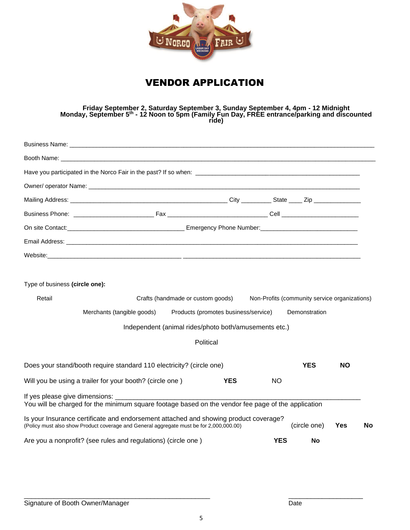

# VENDOR APPLICATION

**Friday September 2, Saturday September 3, Sunday September 4, 4pm - 12 Midnight Monday, September 5th - 12 Noon to 5pm (Family Fun Day, FREE entrance/parking and discounted ride)**

|                                | Email Address: North and the second control of the second control of the second control of the second control of the second control of the second control of the second control of the second control of the second control of |                                                       |            |                                               |           |    |
|--------------------------------|--------------------------------------------------------------------------------------------------------------------------------------------------------------------------------------------------------------------------------|-------------------------------------------------------|------------|-----------------------------------------------|-----------|----|
|                                |                                                                                                                                                                                                                                |                                                       |            |                                               |           |    |
| Type of business (circle one): |                                                                                                                                                                                                                                |                                                       |            |                                               |           |    |
| Retail                         |                                                                                                                                                                                                                                | Crafts (handmade or custom goods)                     |            | Non-Profits (community service organizations) |           |    |
|                                | Merchants (tangible goods)                                                                                                                                                                                                     | Products (promotes business/service)                  |            | Demonstration                                 |           |    |
|                                |                                                                                                                                                                                                                                | Independent (animal rides/photo both/amusements etc.) |            |                                               |           |    |
|                                |                                                                                                                                                                                                                                | Political                                             |            |                                               |           |    |
|                                | Does your stand/booth require standard 110 electricity? (circle one)                                                                                                                                                           |                                                       |            | <b>YES</b>                                    | <b>NO</b> |    |
|                                | Will you be using a trailer for your booth? (circle one)                                                                                                                                                                       | <b>YES</b>                                            | <b>NO</b>  |                                               |           |    |
|                                | If yes please give dimensions:<br>You will be charged for the minimum square footage based on the vendor fee page of the application                                                                                           |                                                       |            |                                               |           |    |
|                                | Is your Insurance certificate and endorsement attached and showing product coverage?<br>(Policy must also show Product coverage and General aggregate must be for 2,000,000.00)                                                |                                                       |            | (circle one)                                  | Yes       | No |
|                                | Are you a nonprofit? (see rules and regulations) (circle one)                                                                                                                                                                  |                                                       | <b>YES</b> | No                                            |           |    |

\_\_\_\_\_\_\_\_\_\_\_\_\_\_\_\_\_\_\_\_\_\_\_\_\_\_\_\_\_\_\_\_\_\_\_\_\_\_\_\_\_\_\_\_\_\_\_\_\_\_ \_\_\_\_\_\_\_\_\_\_\_\_\_\_\_\_\_\_\_\_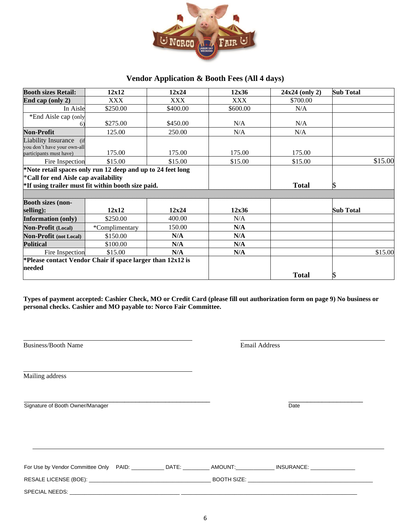

# **Vendor Application & Booth Fees (All 4 days)**

| <b>Booth sizes Retail:</b>                                                        | 12x12                                                                                                             | 12x24      | 12x36      | $24x24$ (only 2) | <b>Sub Total</b> |
|-----------------------------------------------------------------------------------|-------------------------------------------------------------------------------------------------------------------|------------|------------|------------------|------------------|
| End cap (only 2)                                                                  | XXX                                                                                                               | <b>XXX</b> | <b>XXX</b> | \$700.00         |                  |
| In Aisle                                                                          | \$250.00                                                                                                          | \$400.00   | \$600.00   | N/A              |                  |
| *End Aisle cap (only                                                              |                                                                                                                   |            |            |                  |                  |
| 6)                                                                                | \$275.00                                                                                                          | \$450.00   | N/A        | N/A              |                  |
| <b>Non-Profit</b>                                                                 | 125.00                                                                                                            | 250.00     | N/A        | N/A              |                  |
| Liability Insurance (if<br>you don't have your own-all<br>participants must have) | 175.00                                                                                                            | 175.00     | 175.00     | 175.00           |                  |
| Fire Inspection                                                                   | \$15.00                                                                                                           | \$15.00    | \$15.00    | \$15.00          | \$15.00          |
| *Call for end Aisle cap availability                                              | *Note retail spaces only run 12 deep and up to 24 feet long<br>*If using trailer must fit within booth size paid. |            |            | <b>Total</b>     |                  |
| <b>Booth sizes (non-</b><br>selling):                                             | 12x12                                                                                                             | 12x24      | 12x36      |                  | <b>Sub Total</b> |
| <b>Information (only)</b>                                                         | \$250.00                                                                                                          | 400.00     | N/A        |                  |                  |
| <b>Non-Profit (Local)</b>                                                         | *Complimentary                                                                                                    | 150.00     | N/A        |                  |                  |
| <b>Non-Profit (not Local)</b>                                                     | \$150.00                                                                                                          | N/A        | N/A        |                  |                  |
| <b>Political</b>                                                                  | \$100.00                                                                                                          | N/A        | N/A        |                  |                  |
| Fire Inspection                                                                   | \$15.00                                                                                                           | N/A        | N/A        |                  | \$15.00          |
|                                                                                   | *Please contact Vendor Chair if space larger than $12x12$ is                                                      |            |            |                  |                  |
| needed                                                                            |                                                                                                                   |            |            | <b>Total</b>     |                  |

**Types of payment accepted: Cashier Check, MO or Credit Card (please fill out authorization form on page 9) No business or personal checks. Cashier and MO payable to: Norco Fair Committee.** 

| Business/Booth Name              |  | <b>Email Address</b> |  |
|----------------------------------|--|----------------------|--|
| Mailing address                  |  |                      |  |
| Signature of Booth Owner/Manager |  | Date                 |  |
|                                  |  |                      |  |
|                                  |  |                      |  |
|                                  |  |                      |  |
|                                  |  |                      |  |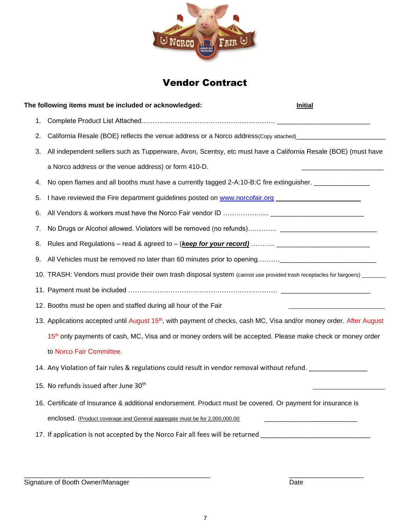

# Vendor Contract

|    | The following items must be included or acknowledged:                                                                                                                           | <b>Initial</b> |
|----|---------------------------------------------------------------------------------------------------------------------------------------------------------------------------------|----------------|
| 1. |                                                                                                                                                                                 |                |
| 2. | California Resale (BOE) reflects the venue address or a Norco address(Copy attached) [100] California Resale (BOE) reflects the venue address or a Norco address(Copy attached) |                |
| 3. | All independent sellers such as Tupperware, Avon, Scentsy, etc must have a California Resale (BOE) (must have                                                                   |                |
|    | a Norco address or the venue address) or form 410-D.                                                                                                                            |                |
| 4. | No open flames and all booths must have a currently tagged 2-A:10-B:C fire extinguisher. ________________                                                                       |                |
| 5. | I have reviewed the Fire department guidelines posted on www.norcofair.org                                                                                                      |                |
| 6. |                                                                                                                                                                                 |                |
| 7. |                                                                                                                                                                                 |                |
| 8. |                                                                                                                                                                                 |                |
| 9. |                                                                                                                                                                                 |                |
|    | 10. TRASH: Vendors must provide their own trash disposal system (cannot use provided trash receptacles for fairgoers) ______                                                    |                |
|    |                                                                                                                                                                                 |                |
|    | 12. Booths must be open and staffed during all hour of the Fair                                                                                                                 |                |
|    | 13. Applications accepted until August 15 <sup>th</sup> , with payment of checks, cash MC, Visa and/or money order. After August                                                |                |
|    | 15th only payments of cash, MC, Visa and or money orders will be accepted. Please make check or money order                                                                     |                |
|    | to Norco Fair Committee.                                                                                                                                                        |                |
|    | 14. Any Violation of fair rules & regulations could result in vendor removal without refund.                                                                                    |                |
|    | 15. No refunds issued after June 30 <sup>th</sup>                                                                                                                               |                |
|    | 16. Certificate of Insurance & additional endorsement. Product must be covered. Or payment for insurance is                                                                     |                |
|    | enclosed. (Product coverage and General aggregate must be for 2,000,000.00                                                                                                      |                |
|    | 17. If application is not accepted by the Norco Fair all fees will be returned _______________________________                                                                  |                |
|    |                                                                                                                                                                                 |                |

\_\_\_\_\_\_\_\_\_\_\_\_\_\_\_\_\_\_\_\_\_\_\_\_\_\_\_\_\_\_\_\_\_\_\_\_\_\_\_\_\_\_\_\_\_\_\_\_\_\_ \_\_\_\_\_\_\_\_\_\_\_\_\_\_\_\_\_\_\_\_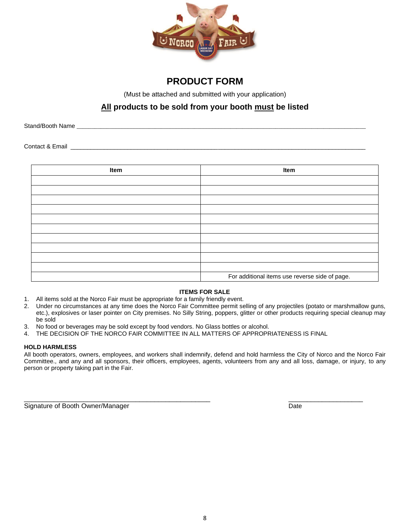

# **PRODUCT FORM**

(Must be attached and submitted with your application)

# **All products to be sold from your booth must be listed**

Stand/Booth Name **Example 20** and the standard standard state of the state of the state of the state of the state of the state of the state of the state of the state of the state of the state of the state of the state of t

Contact & Email **Exercise 2** and the contact  $\alpha$  Email **Exercise 2** and the contact  $\alpha$  Email **Exercise 2** and the contact  $\alpha$  Email **Exercise 2** and the contact  $\alpha$  Email **Exercise 2** and the contact  $\alpha$  Email **Exerc** 

| Item | Item                                           |
|------|------------------------------------------------|
|      |                                                |
|      |                                                |
|      |                                                |
|      |                                                |
|      |                                                |
|      |                                                |
|      |                                                |
|      |                                                |
|      |                                                |
|      |                                                |
|      | For additional items use reverse side of page. |

## **ITEMS FOR SALE**

- 1. All items sold at the Norco Fair must be appropriate for a family friendly event.
- 2. Under no circumstances at any time does the Norco Fair Committee permit selling of any projectiles (potato or marshmallow guns, etc.), explosives or laser pointer on City premises. No Silly String, poppers, glitter or other products requiring special cleanup may be sold
- 3. No food or beverages may be sold except by food vendors. No Glass bottles or alcohol.
- 4. THE DECISION OF THE NORCO FAIR COMMITTEE IN ALL MATTERS OF APPROPRIATENESS IS FINAL

### **HOLD HARMLESS**

All booth operators, owners, employees, and workers shall indemnify, defend and hold harmless the City of Norco and the Norco Fair Committee., and any and all sponsors, their officers, employees, agents, volunteers from any and all loss, damage, or injury, to any person or property taking part in the Fair.

\_\_\_\_\_\_\_\_\_\_\_\_\_\_\_\_\_\_\_\_\_\_\_\_\_\_\_\_\_\_\_\_\_\_\_\_\_\_\_\_\_\_\_\_\_\_\_\_\_\_ \_\_\_\_\_\_\_\_\_\_\_\_\_\_\_\_\_\_\_\_

Signature of Booth Owner/Manager Date Date Communication of Booth Owner/Manager Date Date Date